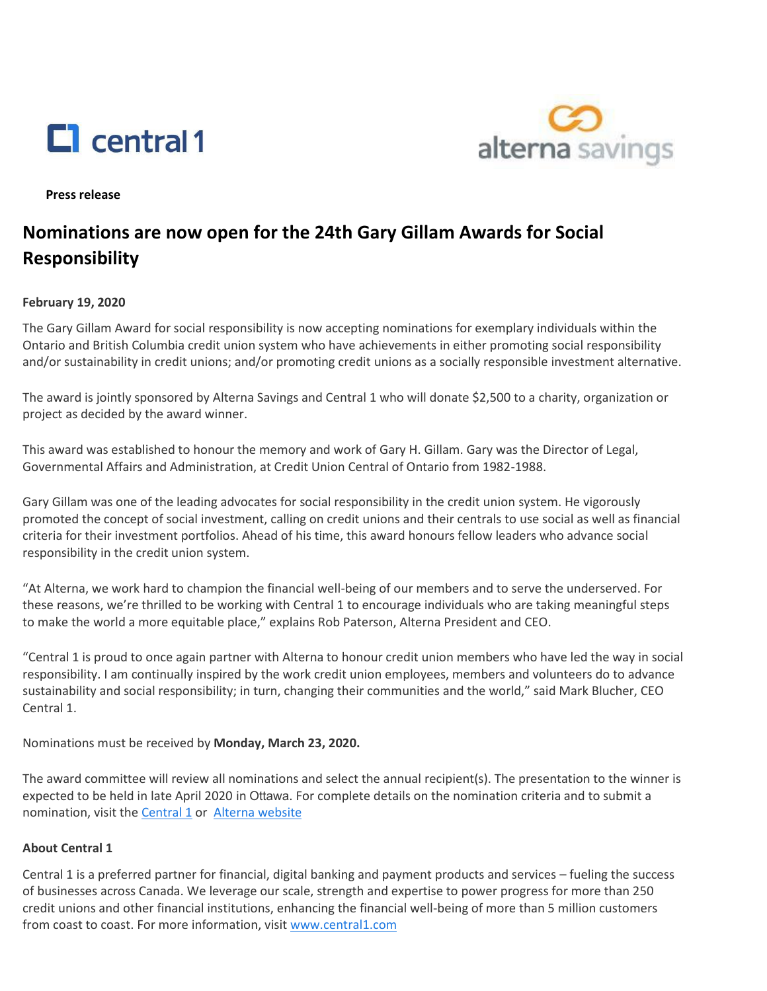



**Press release** 

# **Nominations are now open for the 24th Gary Gillam Awards for Social Responsibility**

### **February 19, 2020**

 The Gary Gillam Award for social responsibility is now accepting nominations for exemplary individuals within the Ontario and British Columbia credit union system who have achievements in either promoting social responsibility and/or sustainability in credit unions; and/or promoting credit unions as a socially responsible investment alternative.

 The award is jointly sponsored by Alterna Savings and Central 1 who will donate \$2,500 to a charity, organization or project as decided by the award winner.

 Governmental Affairs and Administration, at Credit Union Central of Ontario from 1982-1988. This award was established to honour the memory and work of Gary H. Gillam. Gary was the Director of Legal,

 Gary Gillam was one of the leading advocates for social responsibility in the credit union system. He vigorously promoted the concept of social investment, calling on credit unions and their centrals to use social as well as financial criteria for their investment portfolios. Ahead of his time, this award honours fellow leaders who advance social responsibility in the credit union system.

 "At Alterna, we work hard to champion the financial well-being of our members and to serve the underserved. For these reasons, we're thrilled to be working with Central 1 to encourage individuals who are taking meaningful steps to make the world a more equitable place," explains Rob Paterson, Alterna President and CEO.

"Central 1 is proud to once again partner with Alterna to honour credit union members who have led the way in social responsibility. I am continually inspired by the work credit union employees, members and volunteers do to advance sustainability and social responsibility; in turn, changing their communities and the world," said Mark Blucher, CEO Central 1.

Nominations must be received by **Monday, March 23, 2020.** 

 The award committee will review all nominations and select the annual recipient(s). The presentation to the winner is nomination, visit the **Central 1** or Alterna website expected to be held in late April 2020 in Ottawa. For complete details on the nomination criteria and to submit a

### **About Central 1**

 credit unions and other financial institutions, enhancing the financial well-being of more than 5 million customers Central 1 is a preferred partner for financial, digital banking and payment products and services – fueling the success of businesses across Canada. We leverage our scale, strength and expertise to power progress for more than 250 from coast to coast. For more information, visit [www.central1.com](https://www.central1.com/)